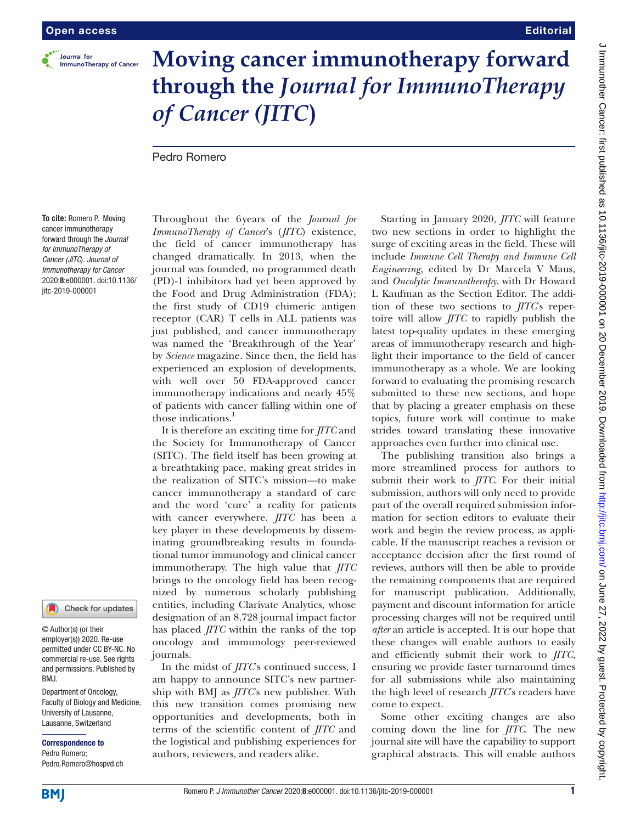

## **Moving cancer immunotherapy forward through the** *Journal for ImmunoTherapy of Cancer (JITC***)**

Pedro Romero

**To cite:** Romero P. Moving cancer immunotherapy forward through the *Journal for ImmunoTherapy of Cancer (JITC*). *Journal of Immunotherapy for Cancer* 2020;8:e000001. doi:10.1136/ jitc-2019-000001

## Check for updates

© Author(s) (or their employer(s)) 2020. Re-use permitted under CC BY-NC. No commercial re-use. See rights and permissions. Published by RM.I

Department of Oncology, Faculty of Biology and Medicine, University of Lausanne, Lausanne, Switzerland

Correspondence to Pedro Romero; Pedro.Romero@hospvd.ch

Throughout the 6years of the *Journal for ImmunoTherapy of Cancer*'s (*JITC*) existence, the field of cancer immunotherapy has changed dramatically. In 2013, when the journal was founded, no programmed death (PD)-1 inhibitors had yet been approved by the Food and Drug Administration (FDA); the first study of CD19 chimeric antigen receptor (CAR) T cells in ALL patients was just published, and cancer immunotherapy was named the 'Breakthrough of the Year' by *Science* magazine. Since then, the field has experienced an explosion of developments, with well over 50 FDA-approved cancer immunotherapy indications and nearly 45% of patients with cancer falling within one of those indications.<sup>[1](#page-1-0)</sup>

It is therefore an exciting time for *JITC* and the Society for Immunotherapy of Cancer (SITC). The field itself has been growing at a breathtaking pace, making great strides in the realization of SITC's mission—to make cancer immunotherapy a standard of care and the word 'cure' a reality for patients with cancer everywhere. *JITC* has been a key player in these developments by disseminating groundbreaking results in foundational tumor immunology and clinical cancer immunotherapy. The high value that *JITC* brings to the oncology field has been recognized by numerous scholarly publishing entities, including Clarivate Analytics, whose designation of an 8.728 journal impact factor has placed *JITC* within the ranks of the top oncology and immunology peer-reviewed journals.

In the midst of *JITC*'s continued success, I am happy to announce SITC's new partnership with BMJ as *JITC*'s new publisher. With this new transition comes promising new opportunities and developments, both in terms of the scientific content of *JITC* and the logistical and publishing experiences for authors, reviewers, and readers alike.

Starting in January 2020, *JITC* will feature two new sections in order to highlight the surge of exciting areas in the field. These will include *Immune Cell Therapy and Immune Cell Engineering*, edited by Dr Marcela V Maus, and *Oncolytic Immunotherapy*, with Dr Howard L Kaufman as the Section Editor. The addition of these two sections to *JITC*'s repertoire will allow *JITC* to rapidly publish the latest top-quality updates in these emerging areas of immunotherapy research and highlight their importance to the field of cancer immunotherapy as a whole. We are looking forward to evaluating the promising research submitted to these new sections, and hope that by placing a greater emphasis on these topics, future work will continue to make strides toward translating these innovative approaches even further into clinical use.

The publishing transition also brings a more streamlined process for authors to submit their work to *JITC*. For their initial submission, authors will only need to provide part of the overall required submission information for section editors to evaluate their work and begin the review process, as applicable. If the manuscript reaches a revision or acceptance decision after the first round of reviews, authors will then be able to provide the remaining components that are required for manuscript publication. Additionally, payment and discount information for article processing charges will not be required until *after* an article is accepted. It is our hope that these changes will enable authors to easily and efficiently submit their work to *JITC*, ensuring we provide faster turnaround times for all submissions while also maintaining the high level of research *JITC*'s readers have come to expect.

Some other exciting changes are also coming down the line for *JITC*. The new journal site will have the capability to support graphical abstracts. This will enable authors

**Editorial**